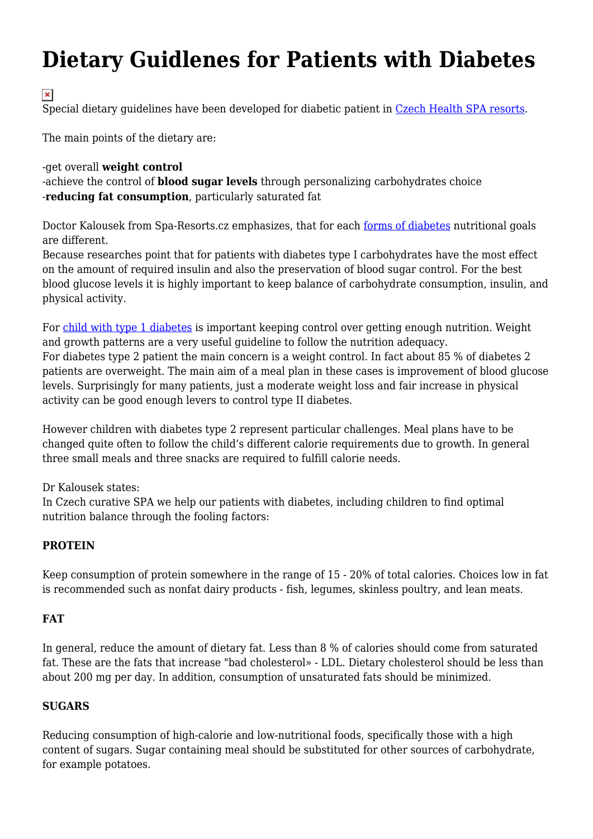# **Dietary Guidlenes for Patients with Diabetes**

 $\pmb{\times}$ 

Special dietary guidelines have been developed for diabetic patient in [Czech Health SPA resorts](http://www.spa-resorts.cz/eng/page/spa-info-376.html).

The main points of the dietary are:

#### -get overall **weight control**

-achieve the control of **blood sugar levels** through personalizing carbohydrates choice -**reducing fat consumption**, particularly saturated fat

Doctor Kalousek from Spa-Resorts.cz emphasizes, that for each [forms of diabetes](http://www.spa-resorts.cz/eng/category/metabolic-disorders-134.html) nutritional goals are different.

Because researches point that for patients with diabetes type I carbohydrates have the most effect on the amount of required insulin and also the preservation of blood sugar control. For the best blood glucose levels it is highly important to keep balance of carbohydrate consumption, insulin, and physical activity.

For [child with type 1 diabetes](http://www.spa-resorts.cz/eng/category/children-treatment-345.html) is important keeping control over getting enough nutrition. Weight and growth patterns are a very useful guideline to follow the nutrition adequacy. For diabetes type 2 patient the main concern is a weight control. In fact about 85 % of diabetes 2 patients are overweight. The main aim of a meal plan in these cases is improvement of blood glucose levels. Surprisingly for many patients, just a moderate weight loss and fair increase in physical activity can be good enough levers to control type II diabetes.

However children with diabetes type 2 represent particular challenges. Meal plans have to be changed quite often to follow the child's different calorie requirements due to growth. In general three small meals and three snacks are required to fulfill calorie needs.

Dr Kalousek states:

In Czech curative SPA we help our patients with diabetes, including children to find optimal nutrition balance through the fooling factors:

### **PROTEIN**

Keep consumption of protein somewhere in the range of 15 - 20% of total calories. Choices low in fat is recommended such as nonfat dairy products - fish, legumes, skinless poultry, and lean meats.

### **FAT**

In general, reduce the amount of dietary fat. Less than 8 % of calories should come from saturated fat. These are the fats that increase "bad cholesterol» - LDL. Dietary cholesterol should be less than about 200 mg per day. In addition, consumption of unsaturated fats should be minimized.

### **SUGARS**

Reducing consumption of high-calorie and low-nutritional foods, specifically those with a high content of sugars. Sugar containing meal should be substituted for other sources of carbohydrate, for example potatoes.